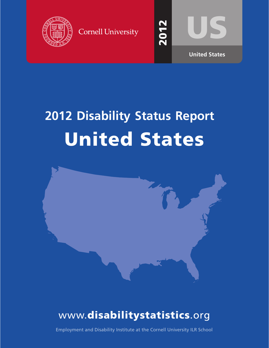

**Cornell University** 



2<br>20

 $\blacktriangledown$  $\sim$ 

# **2012 Disability Status Report** United States



## www.disabilitystatistics.org

Employment and Disability Institute at the Cornell University ILR School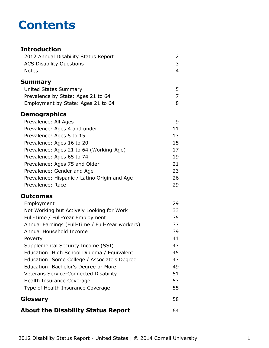## **Contents**

#### **Introduction** [2012 Annual Disability Status Report](#page-2-0) 2 [ACS Disability Questions](#page-3-0) 3 [Notes](#page-4-0) 4 **[Summary](#page-5-0)** [United States Summary](#page-5-0) 5 [Prevalence by State: Ages 21 to 64](#page-7-0) 7 [Employment by State: Ages 21 to 64](#page-8-0) 8 **Demographics** [Prevalence: All Ages](#page-9-0) 9 [Prevalence: Ages 4 and under](#page-11-0) 11 [Prevalence: Ages 5 to 15](#page-13-0) 13 [Prevalence: Ages 16 to 20](#page-15-0) 15 [Prevalence: Ages 21 to 64 \(Working-Age\)](#page-17-0) 17 [Prevalence: Ages 65 to 74](#page-19-0) 19 [Prevalence: Ages 75 and Older](#page-21-0) 21 [Prevalence: Gender and Age](#page-23-0) 23 [Prevalence: Hispanic / Latino Origin and Age](#page-26-0) 26 [Prevalence: Race](#page-29-0) 29 **Outcomes** [Employment](#page-31-0) 29 [Not Working but Actively Looking for Work](#page-33-0) 33 [Full-Time / Full-Year Employment](#page-35-0) 35 [Annual Earnings \(Full-Time / Full-Year workers\)](#page-37-0) 37 [Annual Household Income](#page-39-0) 39 [Poverty](#page-41-0) 41 [Supplemental Security Income \(SSI\)](#page-43-0) 43 [Education: High School Diploma / Equivalent](#page-45-0) 45 [Education: Some College / Associate's Degree](#page-47-0) 47 [Education: Bachelor's Degree or More](#page-49-0) **1988** [Veterans Service-Connected Disability](#page-51-0) 51 [Health Insurance Coverage](#page-53-0) 63 and 53 [Type of Health Insurance Coverage](#page-55-0) 55 **[Glossary](#page-58-0)** 58 **[About the Disability Status Report](#page-64-0)** 64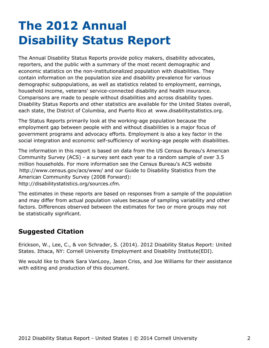## <span id="page-2-0"></span>**The 2012 Annual Disability Status Report**

The Annual Disability Status Reports provide policy makers, disability advocates, reporters, and the public with a summary of the most recent demographic and economic statistics on the non-institutionalized population with disabilities. They contain information on the population size and disability prevalence for various demographic subpopulations, as well as statistics related to employment, earnings, household income, veterans' service-connected disability and health insurance. Comparisons are made to people without disabilities and across disability types. Disability Status Reports and other statistics are available for the United States overall, each state, the District of Columbia, and Puerto Rico at [www.disabilitystatistics.org](http://www.disabilitystatistics.org).

The Status Reports primarily look at the working-age population because the employment gap between people with and without disabilities is a major focus of government programs and advocacy efforts. Employment is also a key factor in the social integration and economic self-sufficiency of working-age people with disabilities.

The information in this report is based on data from the US Census Bureau's American Community Survey (ACS) - a survey sent each year to a random sample of over 3.5 million households. For more information see the Census Bureau's ACS website <http://www.census.gov/acs/www/> and our Guide to Disability Statistics from the American Community Survey (2008 Forward): <http://disabilitystatistics.org/sources.cfm>.

The estimates in these reports are based on responses from a sample of the population and may differ from actual population values because of sampling variability and other factors. Differences observed between the estimates for two or more groups may not be statistically significant.

#### **Suggested Citation**

Erickson, W., Lee, C., & von Schrader, S. (2014). 2012 Disability Status Report: United States. Ithaca, NY: Cornell University Employment and Disability Institute(EDI).

We would like to thank Sara VanLooy, Jason Criss, and Joe Williams for their assistance with editing and production of this document.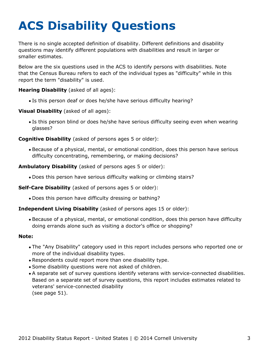# <span id="page-3-0"></span>**ACS Disability Questions**

There is no single accepted definition of disability. Different definitions and disability questions may identify different populations with disabilities and result in larger or smaller estimates.

Below are the six questions used in the ACS to identify persons with disabilities. Note that the Census Bureau refers to each of the individual types as "difficulty" while in this report the term "disability" is used.

**Hearing Disability** (asked of all ages):

Is this person deaf or does he/she have serious difficulty hearing?

**Visual Disability** (asked of all ages):

Is this person blind or does he/she have serious difficulty seeing even when wearing glasses?

**Cognitive Disability** (asked of persons ages 5 or older):

Because of a physical, mental, or emotional condition, does this person have serious difficulty concentrating, remembering, or making decisions?

**Ambulatory Disability** (asked of persons ages 5 or older):

Does this person have serious difficulty walking or climbing stairs?

**Self-Care Disability** (asked of persons ages 5 or older):

Does this person have difficulty dressing or bathing?

#### **Independent Living Disability** (asked of persons ages 15 or older):

Because of a physical, mental, or emotional condition, does this person have difficulty doing errands alone such as visiting a doctor's office or shopping?

#### **Note:**

- The "Any Disability" category used in this report includes persons who reported one or more of the individual disability types.
- Respondents could report more than one disability type.
- Some disability questions were not asked of children.
- A separate set of survey questions identify veterans with service-connected disabilities. Based on a separate set of survey questions, this report includes estimates related to veterans' service-connected disability (see page 51).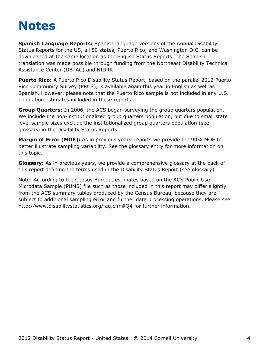## <span id="page-4-0"></span>**Notes**

**Spanish Language Reports:** Spanish language versions of the Annual Disability Status Reports for the US, all 50 states, Puerto Rico, and Washington D.C. can be downloaded at the same location as the English Status Reports. The Spanish translation was made possible through funding from the Northeast Disability Technical Assistance Center (DBTAC) and NIDRR.

**Puerto Rico:** A Puerto Rico Disability Status Report, based on the parallel 2012 Puerto Rico Community Survey (PRCS), is available again this year in English as well as Spanish. However, please note that the Puerto Rico sample is not included in any U.S. population estimates included in these reports.

**Group Quarters:** In 2006, the ACS began surveying the group quarters population. We include the non-institutionalized group quarters population, but due to small state level sample sizes exclude the institutionalized group quarters population (see [glossary](#page-58-0)) in the Disability Status Reports.

**Margin of Error (MOE):** As in previous years' reports we provide the 90% MOE to better illustrate sampling variability. See the glossary entry for more information on this topic.

**Glossary:** As in previous years, we provide a comprehensive glossary at the back of this report defining the terms used in the Disability Status Report (see [glossary](#page-58-0)).

Note: According to the Census Bureau, estimates based on the ACS Public Use Microdata Sample (PUMS) file such as those included in this report may differ slightly from the ACS summary tables produced by the Census Bureau, because they are subject to additional sampling error and further data processing operations. Please see <http://www.disabilitystatistics.org/faq.cfm#Q4> for further information.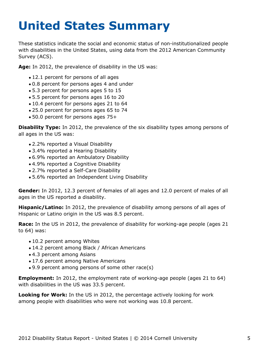# <span id="page-5-0"></span>**United States Summary**

These statistics indicate the social and economic status of non-institutionalized people with disabilities in the United States, using data from the 2012 American Community Survey (ACS).

**Age:** In 2012, the prevalence of disability in the US was:

- 12.1 percent for persons of all ages
- 0.8 percent for persons ages 4 and under
- 5.3 percent for persons ages 5 to 15
- 5.5 percent for persons ages 16 to 20
- 10.4 percent for persons ages 21 to 64
- 25.0 percent for persons ages 65 to 74
- 50.0 percent for persons ages 75+

**Disability Type:** In 2012, the prevalence of the six disability types among persons of all ages in the US was:

- 2.2% reported a Visual Disability
- 3.4% reported a Hearing Disability
- 6.9% reported an Ambulatory Disability
- 4.9% reported a Cognitive Disability
- 2.7% reported a Self-Care Disability
- 5.6% reported an Independent Living Disability

**Gender:** In 2012, 12.3 percent of females of all ages and 12.0 percent of males of all ages in the US reported a disability.

**Hispanic/Latino:** In 2012, the prevalence of disability among persons of all ages of Hispanic or Latino origin in the US was 8.5 percent.

**Race:** In the US in 2012, the prevalence of disability for working-age people (ages 21 to 64) was:

- 10.2 percent among Whites
- 14.2 percent among Black / African Americans
- 4.3 percent among Asians
- 17.6 percent among Native Americans
- 9.9 percent among persons of some other race(s)

**Employment:** In 2012, the employment rate of working-age people (ages 21 to 64) with disabilities in the US was 33.5 percent.

**Looking for Work:** In the US in 2012, the percentage actively looking for work among people with disabilities who were not working was 10.8 percent.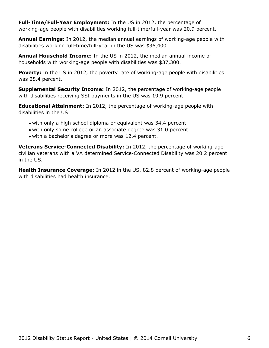**Full-Time/Full-Year Employment:** In the US in 2012, the percentage of working-age people with disabilities working full-time/full-year was 20.9 percent.

**Annual Earnings:** In 2012, the median annual earnings of working-age people with disabilities working full-time/full-year in the US was \$36,400.

**Annual Household Income:** In the US in 2012, the median annual income of households with working-age people with disabilities was \$37,300.

**Poverty:** In the US in 2012, the poverty rate of working-age people with disabilities was 28.4 percent.

**Supplemental Security Income:** In 2012, the percentage of working-age people with disabilities receiving SSI payments in the US was 19.9 percent.

**Educational Attainment:** In 2012, the percentage of working-age people with disabilities in the US:

- with only a high school diploma or equivalent was 34.4 percent
- with only some college or an associate degree was 31.0 percent
- with a bachelor's degree or more was 12.4 percent.

**Veterans Service-Connected Disability:** In 2012, the percentage of working-age civilian veterans with a VA determined Service-Connected Disability was 20.2 percent in the US.

**Health Insurance Coverage:** In 2012 in the US, 82.8 percent of working-age people with disabilities had health insurance.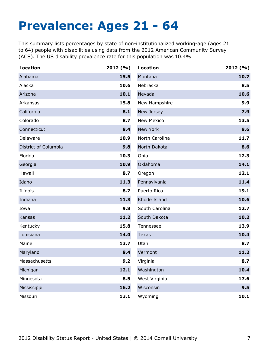## <span id="page-7-0"></span>**Prevalence: Ages 21 - 64**

This summary lists percentages by state of non-institutionalized working-age (ages 21 to 64) people with disabilities using data from the 2012 American Community Survey (ACS). The US disability prevalence rate for this population was 10.4%

| <b>Location</b>      | 2012(%) | <b>Location</b>   | 2012 (%) |
|----------------------|---------|-------------------|----------|
| Alabama              | 15.5    | Montana           | 10.7     |
| Alaska               | 10.6    | Nebraska          | 8.5      |
| Arizona              | 10.1    | Nevada            | 10.6     |
| Arkansas             | 15.8    | New Hampshire     | 9.9      |
| California           | 8.1     | New Jersey        | 7.9      |
| Colorado             | 8.7     | <b>New Mexico</b> | 13.5     |
| Connecticut          | 8.4     | New York          | 8.6      |
| Delaware             | 10.9    | North Carolina    | 11.7     |
| District of Columbia | 9.8     | North Dakota      | 8.6      |
| Florida              | 10.3    | Ohio              | 12.3     |
| Georgia              | 10.9    | Oklahoma          | 14.1     |
| Hawaii               | 8.7     | Oregon            | 12.1     |
| Idaho                | 11.3    | Pennsylvania      | 11.4     |
| Illinois             | 8.7     | Puerto Rico       | 19.1     |
| Indiana              | 11.3    | Rhode Island      | 10.6     |
| Iowa                 | 9.8     | South Carolina    | 12.7     |
| Kansas               | 11.2    | South Dakota      | 10.2     |
| Kentucky             | 15.8    | Tennessee         | 13.9     |
| Louisiana            | 14.0    | Texas             | 10.4     |
| Maine                | 13.7    | Utah              | 8.7      |
| Maryland             | 8.4     | Vermont           | 11.2     |
| Massachusetts        | 9.2     | Virginia          | 8.7      |
| Michigan             | 12.1    | Washington        | 10.4     |
| Minnesota            | 8.5     | West Virginia     | 17.6     |
| Mississippi          | 16.2    | Wisconsin         | 9.5      |
| Missouri             | 13.1    | Wyoming           | 10.1     |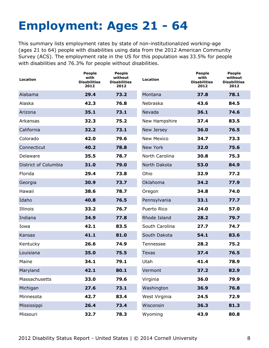# <span id="page-8-0"></span>**Employment: Ages 21 - 64**

This summary lists employment rates by state of non-institutionalized working-age (ages 21 to 64) people with disabilities using data from the 2012 American Community Survey (ACS). The employment rate in the US for this population was 33.5% for people with disabilities and 76.3% for people without disabilities.

| Location             | <b>People</b><br>with<br><b>Disabilities</b><br>2012 | <b>People</b><br>without<br><b>Disabilities</b><br>2012 | <b>Location</b>   | People<br>with<br><b>Disabilities</b><br>2012 | <b>People</b><br>without<br><b>Disabilities</b><br>2012 |
|----------------------|------------------------------------------------------|---------------------------------------------------------|-------------------|-----------------------------------------------|---------------------------------------------------------|
| Alabama              | 29.4                                                 | 73.2                                                    | Montana           | 37.8                                          | 78.1                                                    |
| Alaska               | 42.3                                                 | 76.8                                                    | Nebraska          | 43.6                                          | 84.5                                                    |
| Arizona              | 35.1                                                 | 73.1                                                    | Nevada            | 36.1                                          | 74.6                                                    |
| Arkansas             | 32.3                                                 | 75.2                                                    | New Hampshire     | 37.4                                          | 83.5                                                    |
| California           | 32.2                                                 | 73.1                                                    | New Jersey        | 36.0                                          | 76.5                                                    |
| Colorado             | 42.0                                                 | 79.6                                                    | <b>New Mexico</b> | 34.7                                          | 73.3                                                    |
| Connecticut          | 40.2                                                 | 78.8                                                    | New York          | 32.0                                          | 75.6                                                    |
| Delaware             | 35.5                                                 | 78.7                                                    | North Carolina    | 30.8                                          | 75.3                                                    |
| District of Columbia | 31.0                                                 | 79.0                                                    | North Dakota      | 53.0                                          | 84.9                                                    |
| Florida              | 29.4                                                 | 73.8                                                    | Ohio              | 32.9                                          | 77.2                                                    |
| Georgia              | 30.9                                                 | 73.7                                                    | Oklahoma          | 34.2                                          | 77.9                                                    |
| Hawaii               | 38.6                                                 | 78.7                                                    | Oregon            | 34.8                                          | 74.0                                                    |
| Idaho                | 40.8                                                 | 76.5                                                    | Pennsylvania      | 33.1                                          | 77.7                                                    |
| Illinois             | 33.2                                                 | 76.7                                                    | Puerto Rico       | 24.0                                          | 57.0                                                    |
| Indiana              | 34.9                                                 | 77.8                                                    | Rhode Island      | 28.2                                          | 79.7                                                    |
| Iowa                 | 42.1                                                 | 83.5                                                    | South Carolina    | 27.7                                          | 74.7                                                    |
| Kansas               | 41.1                                                 | 81.0                                                    | South Dakota      | 54.1                                          | 83.6                                                    |
| Kentucky             | 26.6                                                 | 74.9                                                    | Tennessee         | 28.2                                          | 75.2                                                    |
| Louisiana            | 35.0                                                 | 75.5                                                    | <b>Texas</b>      | 37.4                                          | 76.5                                                    |
| Maine                | 34.1                                                 | 79.1                                                    | Utah              | 41.4                                          | 78.9                                                    |
| Maryland             | 42.1                                                 | 80.1                                                    | Vermont           | 37.2                                          | 82.9                                                    |
| Massachusetts        | 33.0                                                 | 79.6                                                    | Virginia          | 36.0                                          | 79.9                                                    |
| Michigan             | 27.6                                                 | 73.1                                                    | Washington        | 36.9                                          | 76.8                                                    |
| Minnesota            | 42.7                                                 | 83.4                                                    | West Virginia     | 24.5                                          | 72.9                                                    |
| Mississippi          | 26.4                                                 | 73.4                                                    | Wisconsin         | 36.3                                          | 81.3                                                    |
| Missouri             | 32.7                                                 | 78.3                                                    | Wyoming           | 43.9                                          | 80.8                                                    |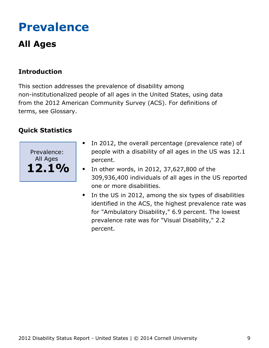## <span id="page-9-0"></span>**Prevalence**

## **All Ages**

### **Introduction**

This section addresses the prevalence of disability among non-institutionalized people of all ages in the United States, using data from the 2012 American Community Survey (ACS). For definitions of terms, see Glossary.



- In 2012, the overall percentage (prevalence rate) of people with a disability of all ages in the US was 12.1 percent.
- In other words, in 2012, 37,627,800 of the  $\bullet$ 309,936,400 individuals of all ages in the US reported one or more disabilities.
- In the US in 2012, among the six types of disabilities identified in the ACS, the highest prevalence rate was for "Ambulatory Disability," 6.9 percent. The lowest prevalence rate was for "Visual Disability," 2.2 percent.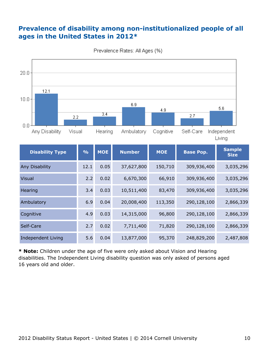#### **Prevalence of disability among non-institutionalized people of all ages in the United States in 2012\***



Prevalence Rates: All Ages (%)

**\* Note:** Children under the age of five were only asked about Vision and Hearing disabilities. The Independent Living disability question was only asked of persons aged 16 years old and older.

Independent Living 5.6 0.04 13,877,000 95,370 248,829,200 2,487,808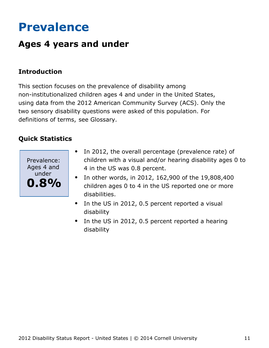## <span id="page-11-0"></span>**Prevalence**

## **Ages 4 years and under**

### **Introduction**

This section focuses on the prevalence of disability among non-institutionalized children ages 4 and under in the United States, using data from the 2012 American Community Survey (ACS). Only the two sensory disability questions were asked of this population. For definitions of terms, see Glossary.



- In 2012, the overall percentage (prevalence rate) of  $\bullet$ children with a visual and/or hearing disability ages 0 to 4 in the US was 0.8 percent.
- In other words, in 2012, 162,900 of the 19,808,400 children ages 0 to 4 in the US reported one or more disabilities.
- $\bullet$ In the US in 2012, 0.5 percent reported a visual disability
- In the US in 2012, 0.5 percent reported a hearing disability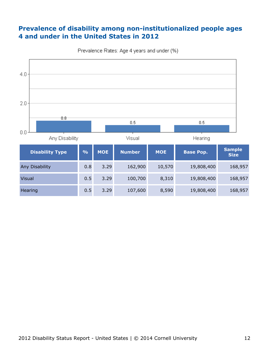#### **Prevalence of disability among non-institutionalized people ages 4 and under in the United States in 2012**



Prevalence Rates: Age 4 years and under (%)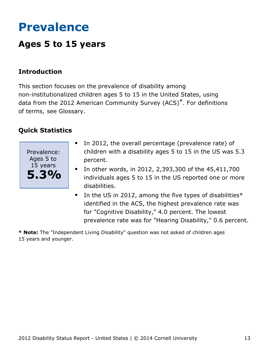## <span id="page-13-0"></span>**Prevalence**

## **Ages 5 to 15 years**

### **Introduction**

This section focuses on the prevalence of disability among non-institutionalized children ages 5 to 15 in the United States, using data from the 2012 American Community Survey (ACS)\*. For definitions of terms, see Glossary.

#### **Quick Statistics**



- In 2012, the overall percentage (prevalence rate) of  $\bullet$ children with a disability ages 5 to 15 in the US was 5.3 percent.
- In other words, in 2012, 2,393,300 of the 45,411,700 individuals ages 5 to 15 in the US reported one or more disabilities.
- $\bullet$ In the US in 2012, among the five types of disabilities\* identified in the ACS, the highest prevalence rate was for "Cognitive Disability," 4.0 percent. The lowest prevalence rate was for "Hearing Disability," 0.6 percent.

**\* Note:** The "Independent Living Disability" question was not asked of children ages 15 years and younger.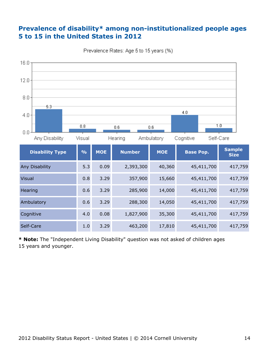#### **Prevalence of disability\* among non-institutionalized people ages 5 to 15 in the United States in 2012**



Prevalence Rates: Age 5 to 15 years (%)

**\* Note:** The "Independent Living Disability" question was not asked of children ages 15 years and younger.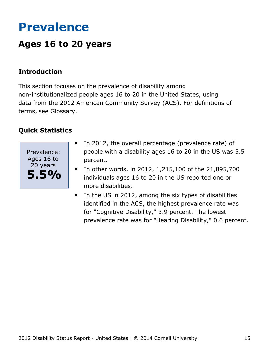## <span id="page-15-0"></span>**Prevalence**

## **Ages 16 to 20 years**

### **Introduction**

This section focuses on the prevalence of disability among non-institutionalized people ages 16 to 20 in the United States, using data from the 2012 American Community Survey (ACS). For definitions of terms, see Glossary.



- In 2012, the overall percentage (prevalence rate) of  $\bullet$ people with a disability ages 16 to 20 in the US was 5.5 percent.
- In other words, in 2012, 1,215,100 of the 21,895,700  $\bullet$ individuals ages 16 to 20 in the US reported one or more disabilities.
- In the US in 2012, among the six types of disabilities  $\bullet$ identified in the ACS, the highest prevalence rate was for "Cognitive Disability," 3.9 percent. The lowest prevalence rate was for "Hearing Disability," 0.6 percent.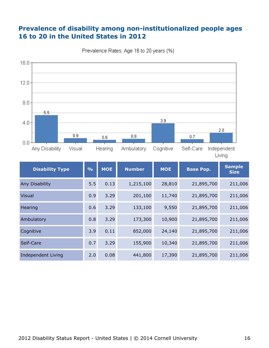#### **Prevalence of disability among non-institutionalized people ages 16 to 20 in the United States in 2012**





Living

| <b>Disability Type</b> | $\frac{0}{0}$ | <b>MOE</b> | <b>Number</b> | <b>MOE</b> | <b>Base Pop.</b> | <b>Sample</b><br><b>Size</b> |
|------------------------|---------------|------------|---------------|------------|------------------|------------------------------|
| Any Disability         | 5.5           | 0.13       | 1,215,100     | 28,810     | 21,895,700       | 211,006                      |
| Visual                 | 0.9           | 3.29       | 201,100       | 11,740     | 21,895,700       | 211,006                      |
| Hearing                | 0.6           | 3.29       | 133,100       | 9,550      | 21,895,700       | 211,006                      |
| Ambulatory             | 0.8           | 3.29       | 173,300       | 10,900     | 21,895,700       | 211,006                      |
| Cognitive              | 3.9           | 0.11       | 852,000       | 24,140     | 21,895,700       | 211,006                      |
| Self-Care              | 0.7           | 3.29       | 155,900       | 10,340     | 21,895,700       | 211,006                      |
| Independent Living     | 2.0           | 0.08       | 441,800       | 17,390     | 21,895,700       | 211,006                      |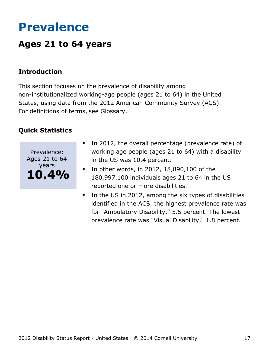## <span id="page-17-0"></span>**Prevalence**

## **Ages 21 to 64 years**

### **Introduction**

This section focuses on the prevalence of disability among non-institutionalized working-age people (ages 21 to 64) in the United States, using data from the 2012 American Community Survey (ACS). For definitions of terms, see Glossary.



- In 2012, the overall percentage (prevalence rate) of working age people (ages 21 to 64) with a disability in the US was 10.4 percent.
- In other words, in 2012, 18,890,100 of the  $\bullet$ 180,997,100 individuals ages 21 to 64 in the US reported one or more disabilities.
- In the US in 2012, among the six types of disabilities identified in the ACS, the highest prevalence rate was for "Ambulatory Disability," 5.5 percent. The lowest prevalence rate was "Visual Disability," 1.8 percent.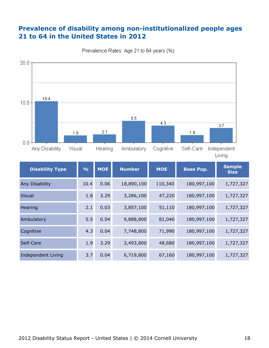#### **Prevalence of disability among non-institutionalized people ages 21 to 64 in the United States in 2012**





Living

| <b>Disability Type</b>    | $\frac{0}{0}$ | <b>MOE</b> | <b>Number</b> | <b>MOE</b> | <b>Base Pop.</b> | <b>Sample</b><br><b>Size</b> |
|---------------------------|---------------|------------|---------------|------------|------------------|------------------------------|
| Any Disability            | 10.4          | 0.06       | 18,890,100    | 110,340    | 180,997,100      | 1,727,327                    |
| Visual                    | 1.8           | 3.29       | 3,286,100     | 47,220     | 180,997,100      | 1,727,327                    |
| Hearing                   | 2.1           | 0.03       | 3,857,100     | 51,110     | 180,997,100      | 1,727,327                    |
| Ambulatory                | 5.5           | 0.04       | 9,888,800     | 81,040     | 180,997,100      | 1,727,327                    |
| Cognitive                 | 4.3           | 0.04       | 7,748,800     | 71,990     | 180,997,100      | 1,727,327                    |
| Self-Care                 | 1.9           | 3.29       | 3,493,800     | 48,680     | 180,997,100      | 1,727,327                    |
| <b>Independent Living</b> | 3.7           | 0.04       | 6,719,800     | 67,160     | 180,997,100      | 1,727,327                    |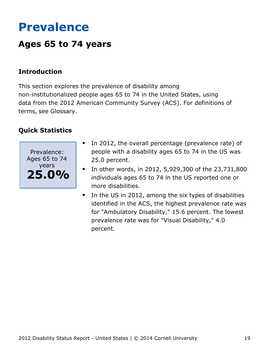## <span id="page-19-0"></span>**Prevalence**

## **Ages 65 to 74 years**

### **Introduction**

This section explores the prevalence of disability among non-institutionalized people ages 65 to 74 in the United States, using data from the 2012 American Community Survey (ACS). For definitions of terms, see Glossary.



- In 2012, the overall percentage (prevalence rate) of people with a disability ages 65 to 74 in the US was 25.0 percent.
- In other words, in 2012, 5,929,300 of the 23,731,800  $\bullet$ individuals ages 65 to 74 in the US reported one or more disabilities.
- $\bullet$ In the US in 2012, among the six types of disabilities identified in the ACS, the highest prevalence rate was for "Ambulatory Disability," 15.6 percent. The lowest prevalence rate was for "Visual Disability," 4.0 percent.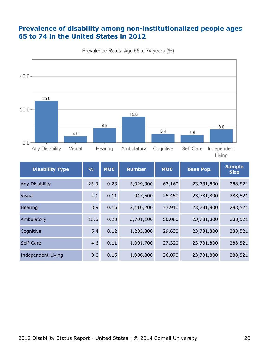#### **Prevalence of disability among non-institutionalized people ages 65 to 74 in the United States in 2012**



Prevalence Rates: Age 65 to 74 years (%)

Living

| <b>Disability Type</b> | $\frac{0}{0}$ | <b>MOE</b> | <b>Number</b> | <b>MOE</b> | <b>Base Pop.</b> | <b>Sample</b><br><b>Size</b> |
|------------------------|---------------|------------|---------------|------------|------------------|------------------------------|
| Any Disability         | 25.0          | 0.23       | 5,929,300     | 63,160     | 23,731,800       | 288,521                      |
| <b>Visual</b>          | 4.0           | 0.11       | 947,500       | 25,450     | 23,731,800       | 288,521                      |
| Hearing                | 8.9           | 0.15       | 2,110,200     | 37,910     | 23,731,800       | 288,521                      |
| Ambulatory             | 15.6          | 0.20       | 3,701,100     | 50,080     | 23,731,800       | 288,521                      |
| Cognitive              | 5.4           | 0.12       | 1,285,800     | 29,630     | 23,731,800       | 288,521                      |
| Self-Care              | 4.6           | 0.11       | 1,091,700     | 27,320     | 23,731,800       | 288,521                      |
| Independent Living     | 8.0           | 0.15       | 1,908,800     | 36,070     | 23,731,800       | 288,521                      |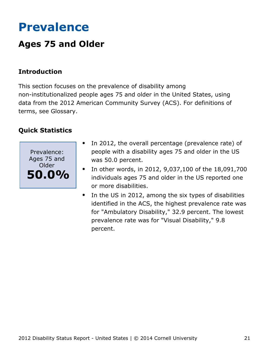## <span id="page-21-0"></span>**Prevalence**

## **Ages 75 and Older**

### **Introduction**

This section focuses on the prevalence of disability among non-institutionalized people ages 75 and older in the United States, using data from the 2012 American Community Survey (ACS). For definitions of terms, see Glossary.



- In 2012, the overall percentage (prevalence rate) of  $\bullet$ people with a disability ages 75 and older in the US was 50.0 percent.
- In other words, in 2012, 9,037,100 of the 18,091,700  $\bullet$ individuals ages 75 and older in the US reported one or more disabilities.
- In the US in 2012, among the six types of disabilities  $\bullet$ identified in the ACS, the highest prevalence rate was for "Ambulatory Disability," 32.9 percent. The lowest prevalence rate was for "Visual Disability," 9.8 percent.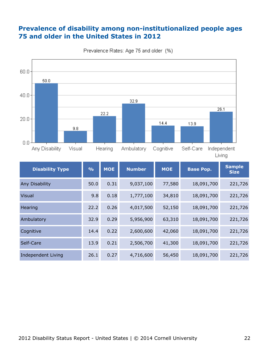#### **Prevalence of disability among non-institutionalized people ages 75 and older in the United States in 2012**



Prevalence Rates: Age 75 and older (%)

| <b>Disability Type</b> | $\frac{9}{6}$ | <b>MOE</b> | <b>Number</b> | <b>MOE</b> | <b>Base Pop.</b> | <b>Sample</b><br><b>Size</b> |
|------------------------|---------------|------------|---------------|------------|------------------|------------------------------|
| Any Disability         | 50.0          | 0.31       | 9,037,100     | 77,580     | 18,091,700       | 221,726                      |
| <b>Visual</b>          | 9.8           | 0.18       | 1,777,100     | 34,810     | 18,091,700       | 221,726                      |
| Hearing                | 22.2          | 0.26       | 4,017,500     | 52,150     | 18,091,700       | 221,726                      |
| Ambulatory             | 32.9          | 0.29       | 5,956,900     | 63,310     | 18,091,700       | 221,726                      |
| Cognitive              | 14.4          | 0.22       | 2,600,600     | 42,060     | 18,091,700       | 221,726                      |
| Self-Care              | 13.9          | 0.21       | 2,506,700     | 41,300     | 18,091,700       | 221,726                      |
| Independent Living     | 26.1          | 0.27       | 4,716,600     | 56,450     | 18,091,700       | 221,726                      |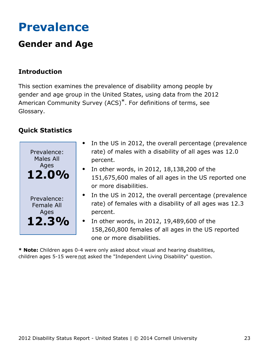## <span id="page-23-0"></span>**Prevalence**

## **Gender and Age**

### **Introduction**

This section examines the prevalence of disability among people by gender and age group in the United States, using data from the 2012 American Community Survey (ACS)\*. For definitions of terms, see Glossary.

## **Quick Statistics**



- In the US in 2012, the overall percentage (prevalence rate) of males with a disability of all ages was 12.0 percent.
- $\bullet$  In other words, in 2012, 18,138,200 of the 151,675,600 males of all ages in the US reported one or more disabilities.
- In the US in 2012, the overall percentage (prevalence rate) of females with a disability of all ages was 12.3 percent.
- In other words, in 2012, 19,489,600 of the 158,260,800 females of all ages in the US reported one or more disabilities.

**\* Note:** Children ages 0-4 were only asked about visual and hearing disabilities, children ages 5-15 were not asked the "Independent Living Disability" question.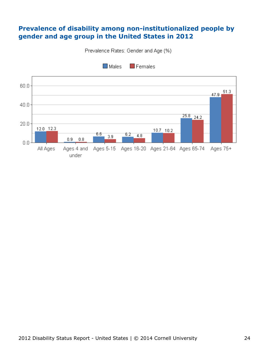#### **Prevalence of disability among non-institutionalized people by gender and age group in the United States in 2012**

Prevalence Rates: Gender and Age (%)

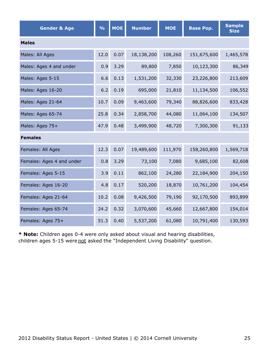| <b>Gender &amp; Age</b>   | $\frac{0}{0}$ | <b>MOE</b> | <b>Number</b> | <b>MOE</b> | <b>Base Pop.</b> | <b>Sample</b><br><b>Size</b> |
|---------------------------|---------------|------------|---------------|------------|------------------|------------------------------|
| <b>Males</b>              |               |            |               |            |                  |                              |
| Males: All Ages           | 12.0          | 0.07       | 18,138,200    | 108,260    | 151,675,600      | 1,465,578                    |
| Males: Ages 4 and under   | 0.9           | 3.29       | 89,800        | 7,850      | 10,123,300       | 86,349                       |
| Males: Ages 5-15          | 6.6           | 0.13       | 1,531,200     | 32,330     | 23,226,800       | 213,609                      |
| Males: Ages 16-20         | 6.2           | 0.19       | 695,000       | 21,810     | 11,134,500       | 106,552                      |
| Males: Ages 21-64         | 10.7          | 0.09       | 9,463,600     | 79,340     | 88,826,600       | 833,428                      |
| Males: Ages 65-74         | 25.8          | 0.34       | 2,858,700     | 44,080     | 11,064,100       | 134,507                      |
| Males: Ages 75+           | 47.9          | 0.48       | 3,499,900     | 48,720     | 7,300,300        | 91,133                       |
| <b>Females</b>            |               |            |               |            |                  |                              |
| Females: All Ages         | 12.3          | 0.07       | 19,489,600    | 111,970    | 158,260,800      | 1,569,718                    |
| Females: Ages 4 and under | 0.8           | 3.29       | 73,100        | 7,080      | 9,685,100        | 82,608                       |
| Females: Ages 5-15        | 3.9           | 0.11       | 862,100       | 24,280     | 22,184,900       | 204,150                      |
| Females: Ages 16-20       | 4.8           | 0.17       | 520,200       | 18,870     | 10,761,200       | 104,454                      |
| Females: Ages 21-64       | 10.2          | 0.08       | 9,426,500     | 79,190     | 92,170,500       | 893,899                      |
| Females: Ages 65-74       | 24.2          | 0.32       | 3,070,600     | 45,660     | 12,667,800       | 154,014                      |
| Females: Ages 75+         | 51.3          | 0.40       | 5,537,200     | 61,080     | 10,791,400       | 130,593                      |

**\* Note:** Children ages 0-4 were only asked about visual and hearing disabilities, children ages 5-15 were not asked the "Independent Living Disability" question.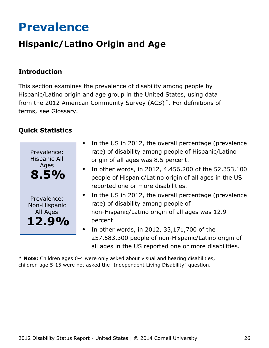## <span id="page-26-0"></span>**Prevalence**

## **Hispanic/Latino Origin and Age**

### **Introduction**

This section examines the prevalence of disability among people by Hispanic/Latino origin and age group in the United States, using data from the 2012 American Community Survey (ACS)\*. For definitions of terms, see Glossary.

### **Quick Statistics**



- In the US in 2012, the overall percentage (prevalence rate) of disability among people of Hispanic/Latino origin of all ages was 8.5 percent.
- In other words, in 2012, 4,456,200 of the 52,353,100 people of Hispanic/Latino origin of all ages in the US reported one or more disabilities.
- In the US in 2012, the overall percentage (prevalence rate) of disability among people of non-Hispanic/Latino origin of all ages was 12.9 percent.
- In other words, in 2012, 33,171,700 of the 257,583,300 people of non-Hispanic/Latino origin of all ages in the US reported one or more disabilities.

**\* Note:** Children ages 0-4 were only asked about visual and hearing disabilities, children age 5-15 were not asked the "Independent Living Disability" question.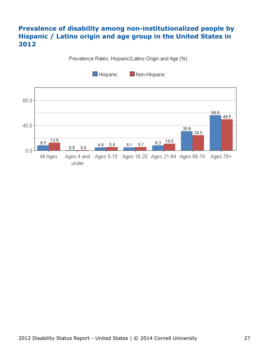### **Prevalence of disability among non-institutionalized people by Hispanic / Latino origin and age group in the United States in 2012**

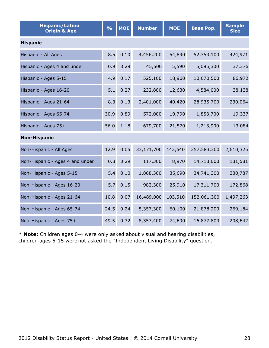| <b>Hispanic/Latino</b><br><b>Origin &amp; Age</b> | $\frac{9}{6}$ | <b>MOE</b> | <b>Number</b> | <b>MOE</b> | <b>Base Pop.</b> | <b>Sample</b><br><b>Size</b> |
|---------------------------------------------------|---------------|------------|---------------|------------|------------------|------------------------------|
| <b>Hispanic</b>                                   |               |            |               |            |                  |                              |
| Hispanic - All Ages                               | 8.5           | 0.10       | 4,456,200     | 54,890     | 52,353,100       | 424,971                      |
| Hispanic - Ages 4 and under                       | 0.9           | 3.29       | 45,500        | 5,590      | 5,095,300        | 37,376                       |
| Hispanic - Ages 5-15                              | 4.9           | 0.17       | 525,100       | 18,960     | 10,670,500       | 86,972                       |
| Hispanic - Ages 16-20                             | 5.1           | 0.27       | 232,800       | 12,630     | 4,584,000        | 38,138                       |
| Hispanic - Ages 21-64                             | 8.3           | 0.13       | 2,401,000     | 40,420     | 28,935,700       | 230,064                      |
| Hispanic - Ages 65-74                             | 30.9          | 0.89       | 572,000       | 19,790     | 1,853,700        | 19,337                       |
| Hispanic - Ages 75+                               | 56.0          | 1.18       | 679,700       | 21,570     | 1,213,900        | 13,084                       |
| <b>Non-Hispanic</b>                               |               |            |               |            |                  |                              |
| Non-Hispanic - All Ages                           | 12.9          | 0.05       | 33,171,700    | 142,640    | 257,583,300      | 2,610,325                    |
| Non-Hispanic - Ages 4 and under                   | 0.8           | 3.29       | 117,300       | 8,970      | 14,713,000       | 131,581                      |
| Non-Hispanic - Ages 5-15                          | 5.4           | 0.10       | 1,868,300     | 35,690     | 34,741,300       | 330,787                      |
| Non-Hispanic - Ages 16-20                         | 5.7           | 0.15       | 982,300       | 25,910     | 17,311,700       | 172,868                      |
| Non-Hispanic - Ages 21-64                         | 10.8          | 0.07       | 16,489,000    | 103,510    | 152,061,300      | 1,497,263                    |
| Non-Hispanic - Ages 65-74                         | 24.5          | 0.24       | 5,357,300     | 60,100     | 21,878,200       | 269,184                      |
| Non-Hispanic - Ages 75+                           | 49.5          | 0.32       | 8,357,400     | 74,690     | 16,877,800       | 208,642                      |

**\* Note:** Children ages 0-4 were only asked about visual and hearing disabilities, children ages 5-15 were not asked the "Independent Living Disability" question.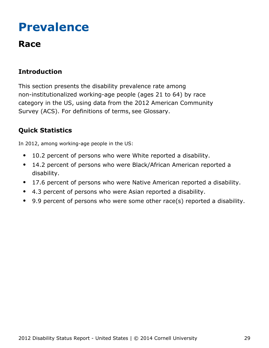## <span id="page-29-0"></span>**Prevalence**

## **Race**

## **Introduction**

This section presents the disability prevalence rate among non-institutionalized working-age people (ages 21 to 64) by race category in the US, using data from the 2012 American Community Survey (ACS). For definitions of terms, see Glossary.

## **Quick Statistics**

In 2012, among working-age people in the US:

- 10.2 percent of persons who were White reported a disability.  $\bullet$
- 14.2 percent of persons who were Black/African American reported a  $\bullet$ disability.
- 17.6 percent of persons who were Native American reported a disability.  $\bullet$
- 4.3 percent of persons who were Asian reported a disability.
- 9.9 percent of persons who were some other race(s) reported a disability.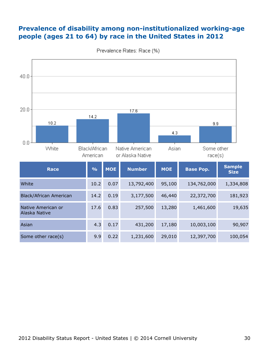#### **Prevalence of disability among non-institutionalized working-age people (ages 21 to 64) by race in the United States in 2012**



Prevalence Rates: Race (%)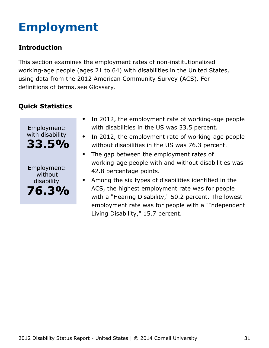# <span id="page-31-0"></span>**Employment**

## **Introduction**

This section examines the employment rates of non-institutionalized working-age people (ages 21 to 64) with disabilities in the United States, using data from the 2012 American Community Survey (ACS). For definitions of terms, see Glossary.



- In 2012, the employment rate of working-age people  $\bullet$ with disabilities in the US was 33.5 percent.
- In 2012, the employment rate of working-age people  $\bullet$ without disabilities in the US was 76.3 percent.
- The gap between the employment rates of  $\bullet$ working-age people with and without disabilities was 42.8 percentage points.
- Among the six types of disabilities identified in the ACS, the highest employment rate was for people with a "Hearing Disability," 50.2 percent. The lowest employment rate was for people with a "Independent Living Disability," 15.7 percent.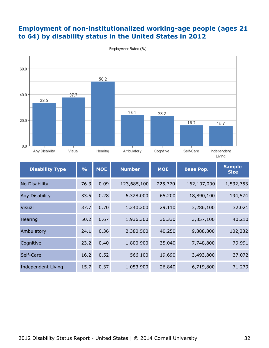#### **Employment of non-institutionalized working-age people (ages 21 to 64) by disability status in the United States in 2012**



Living **Disability Type % MOE Number MOE Base Pop. Sample Size** No Disability 76.3 0.09 123,685,100 225,770 162,107,000 1,532,753 Any Disability 33.5 0.28 6,328,000 65,200 18,890,100 194,574 Visual 37.7 0.70 1,240,200 29,110 3,286,100 32,021 Hearing 50.2 0.67 1,936,300 36,330 3,857,100 40,210 Ambulatory 24.1 0.36 2,380,500 40,250 9,888,800 102,232 Cognitive 23.2 0.40 1,800,900 35,040 7,748,800 79,991 Self-Care 16.2 0.52 566,100 19,690 3,493,800 37,072 Independent Living 15.7 0.37 1,053,900 26,840 6,719,800 71,279

Employment Rates (%)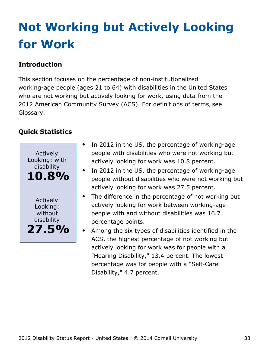# <span id="page-33-0"></span>**Not Working but Actively Looking for Work**

## **Introduction**

This section focuses on the percentage of non-institutionalized working-age people (ages 21 to 64) with disabilities in the United States who are not working but actively looking for work, using data from the 2012 American Community Survey (ACS). For definitions of terms, see Glossary.



- In 2012 in the US, the percentage of working-age people with disabilities who were not working but actively looking for work was 10.8 percent.
- In 2012 in the US, the percentage of working-age people without disabilities who were not working but actively looking for work was 27.5 percent.
- $\bullet$ The difference in the percentage of not working but actively looking for work between working-age people with and without disabilities was 16.7 percentage points.
	- Among the six types of disabilities identified in the ACS, the highest percentage of not working but actively looking for work was for people with a "Hearing Disability," 13.4 percent. The lowest percentage was for people with a "Self-Care Disability," 4.7 percent.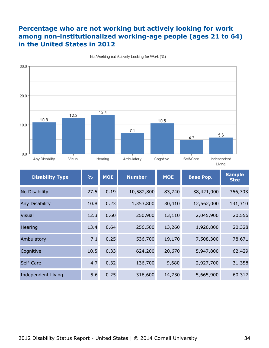#### **Percentage who are not working but actively looking for work among non-institutionalized working-age people (ages 21 to 64) in the United States in 2012**



Not Working but Actively Looking for Work (%)

| <b>Disability Type</b> | $\frac{9}{6}$ | <b>MOE</b> | <b>Number</b> | <b>MOE</b> | <b>Base Pop.</b> | <b>Sample</b><br><b>Size</b> |
|------------------------|---------------|------------|---------------|------------|------------------|------------------------------|
| No Disability          | 27.5          | 0.19       | 10,582,800    | 83,740     | 38,421,900       | 366,703                      |
| Any Disability         | 10.8          | 0.23       | 1,353,800     | 30,410     | 12,562,000       | 131,310                      |
| <b>Visual</b>          | 12.3          | 0.60       | 250,900       | 13,110     | 2,045,900        | 20,556                       |
| Hearing                | 13.4          | 0.64       | 256,500       | 13,260     | 1,920,800        | 20,328                       |
| Ambulatory             | 7.1           | 0.25       | 536,700       | 19,170     | 7,508,300        | 78,671                       |
| Cognitive              | 10.5          | 0.33       | 624,200       | 20,670     | 5,947,800        | 62,429                       |
| Self-Care              | 4.7           | 0.32       | 136,700       | 9,680      | 2,927,700        | 31,358                       |
| Independent Living     | 5.6           | 0.25       | 316,600       | 14,730     | 5,665,900        | 60,317                       |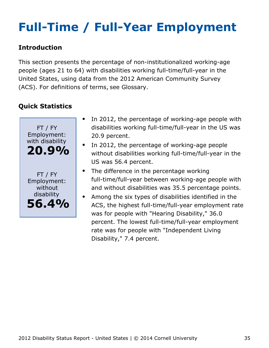# <span id="page-35-0"></span>**Full-Time / Full-Year Employment**

### **Introduction**

This section presents the percentage of non-institutionalized working-age people (ages 21 to 64) with disabilities working full-time/full-year in the United States, using data from the 2012 American Community Survey (ACS). For definitions of terms, see Glossary.



- In 2012, the percentage of working-age people with disabilities working full-time/full-year in the US was 20.9 percent.
- In 2012, the percentage of working-age people without disabilities working full-time/full-year in the US was 56.4 percent.
- The difference in the percentage working full-time/full-year between working-age people with and without disabilities was 35.5 percentage points.
- Among the six types of disabilities identified in the  $\bullet$ ACS, the highest full-time/full-year employment rate was for people with "Hearing Disability," 36.0 percent. The lowest full-time/full-year employment rate was for people with "Independent Living Disability," 7.4 percent.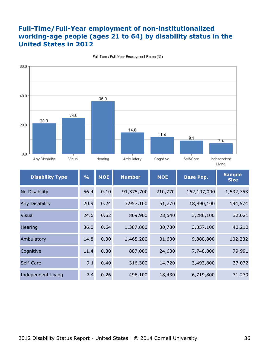#### **Full-Time/Full-Year employment of non-institutionalized working-age people (ages 21 to 64) by disability status in the United States in 2012**



Full-Time / Full-Year Employment Rates (%)

| <b>Disability Type</b> | $\frac{9}{6}$ | <b>MOE</b> | <b>Number</b> | <b>MOE</b> | <b>Base Pop.</b> | <b>Sample</b><br><b>Size</b> |
|------------------------|---------------|------------|---------------|------------|------------------|------------------------------|
| No Disability          | 56.4          | 0.10       | 91,375,700    | 210,770    | 162,107,000      | 1,532,753                    |
| Any Disability         | 20.9          | 0.24       | 3,957,100     | 51,770     | 18,890,100       | 194,574                      |
| <b>Visual</b>          | 24.6          | 0.62       | 809,900       | 23,540     | 3,286,100        | 32,021                       |
| Hearing                | 36.0          | 0.64       | 1,387,800     | 30,780     | 3,857,100        | 40,210                       |
| Ambulatory             | 14.8          | 0.30       | 1,465,200     | 31,630     | 9,888,800        | 102,232                      |
| Cognitive              | 11.4          | 0.30       | 887,000       | 24,630     | 7,748,800        | 79,991                       |
| Self-Care              | 9.1           | 0.40       | 316,300       | 14,720     | 3,493,800        | 37,072                       |
| Independent Living     | 7.4           | 0.26       | 496,100       | 18,430     | 6,719,800        | 71,279                       |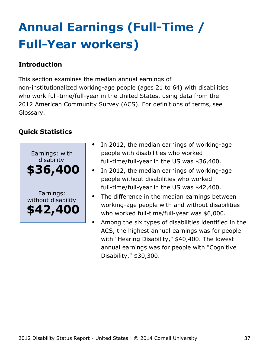# <span id="page-37-0"></span>**Annual Earnings (Full-Time / Full-Year workers)**

### **Introduction**

This section examines the median annual earnings of non-institutionalized working-age people (ages 21 to 64) with disabilities who work full-time/full-year in the United States, using data from the 2012 American Community Survey (ACS). For definitions of terms, see Glossary.



- In 2012, the median earnings of working-age people with disabilities who worked full-time/full-year in the US was \$36,400.
- In 2012, the median earnings of working-age people without disabilities who worked full-time/full-year in the US was \$42,400.
- The difference in the median earnings between working-age people with and without disabilities who worked full-time/full-year was \$6,000.
- Among the six types of disabilities identified in the ACS, the highest annual earnings was for people with "Hearing Disability," \$40,400. The lowest annual earnings was for people with "Cognitive Disability," \$30,300.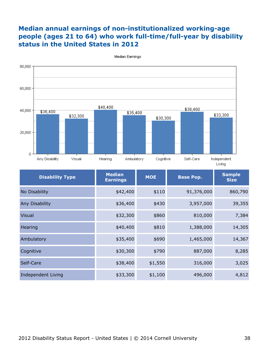#### **Median annual earnings of non-institutionalized working-age people (ages 21 to 64) who work full-time/full-year by disability status in the United States in 2012**



Median Earnings

| <b>Disability Type</b>    | <b>Median</b><br><b>Earnings</b> | <b>MOE</b> | <b>Base Pop.</b> | <b>Sample</b><br><b>Size</b> |
|---------------------------|----------------------------------|------------|------------------|------------------------------|
| No Disability             | \$42,400                         | \$110      | 91,376,000       | 860,790                      |
| Any Disability            | \$36,400                         | \$430      | 3,957,000        | 39,355                       |
| <b>Visual</b>             | \$32,300                         | \$860      | 810,000          | 7,384                        |
| Hearing                   | \$40,400                         | \$810      | 1,388,000        | 14,305                       |
| Ambulatory                | \$35,400                         | \$690      | 1,465,000        | 14,367                       |
| Cognitive                 | \$30,300                         | \$790      | 887,000          | 8,285                        |
| Self-Care                 | \$38,400                         | \$1,550    | 316,000          | 3,025                        |
| <b>Independent Living</b> | \$33,300                         | \$1,100    | 496,000          | 4,812                        |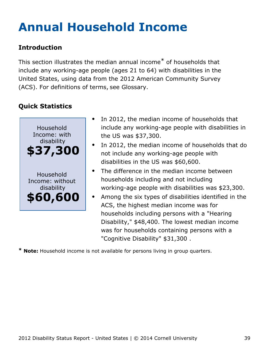# <span id="page-39-0"></span>**Annual Household Income**

### **Introduction**

This section illustrates the median annual income\* of households that include any working-age people (ages 21 to 64) with disabilities in the United States, using data from the 2012 American Community Survey (ACS). For definitions of terms, see Glossary.

## **Quick Statistics**



- In 2012, the median income of households that include any working-age people with disabilities in the US was \$37,300.
- In 2012, the median income of households that do not include any working-age people with disabilities in the US was \$60,600.
- The difference in the median income between households including and not including working-age people with disabilities was \$23,300.
- Among the six types of disabilities identified in the ACS, the highest median income was for households including persons with a "Hearing Disability," \$48,400. The lowest median income was for households containing persons with a "Cognitive Disability" \$31,300 .

**\* Note:** Household income is not available for persons living in group quarters.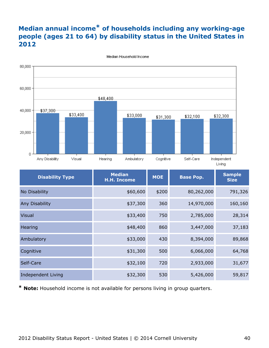### **Median annual income\* of households including any working-age people (ages 21 to 64) by disability status in the United States in 2012**



Median Household Income

| <b>Disability Type</b> | <b>Median</b><br><b>H.H. Income</b> | <b>MOE</b> | <b>Base Pop.</b> | <b>Sample</b><br><b>Size</b> |
|------------------------|-------------------------------------|------------|------------------|------------------------------|
| No Disability          | \$60,600                            | \$200      | 80,262,000       | 791,326                      |
| Any Disability         | \$37,300                            | 360        | 14,970,000       | 160,160                      |
| <b>Visual</b>          | \$33,400                            | 750        | 2,785,000        | 28,314                       |
| Hearing                | \$48,400                            | 860        | 3,447,000        | 37,183                       |
| Ambulatory             | \$33,000                            | 430        | 8,394,000        | 89,868                       |
| Cognitive              | \$31,300                            | 500        | 6,066,000        | 64,768                       |
| Self-Care              | \$32,100                            | 720        | 2,933,000        | 31,677                       |
| Independent Living     | \$32,300                            | 530        | 5,426,000        | 59,817                       |

**\* Note:** Household income is not available for persons living in group quarters.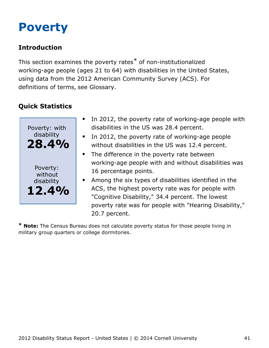## <span id="page-41-0"></span>**Poverty**

## **Introduction**

This section examines the poverty rates\* of non-institutionalized working-age people (ages 21 to 64) with disabilities in the United States, using data from the 2012 American Community Survey (ACS). For definitions of terms, see Glossary.

## **Quick Statistics**



- In 2012, the poverty rate of working-age people with disabilities in the US was 28.4 percent.
- In 2012, the poverty rate of working-age people without disabilities in the US was 12.4 percent.
- The difference in the poverty rate between working-age people with and without disabilities was 16 percentage points.
- Among the six types of disabilities identified in the ACS, the highest poverty rate was for people with "Cognitive Disability," 34.4 percent. The lowest poverty rate was for people with "Hearing Disability," 20.7 percent.

**\* Note:** The Census Bureau does not calculate poverty status for those people living in military group quarters or college dormitories.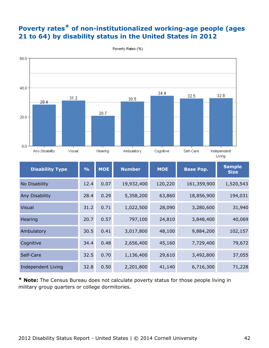### **Poverty rates\* of non-institutionalized working-age people (ages 21 to 64) by disability status in the United States in 2012**



Poverty Rates (%)

| <b>Disability Type</b>    | $\frac{9}{6}$ | <b>MOE</b> | <b>Number</b> | <b>MOE</b> | <b>Base Pop.</b> | <b>Sample</b><br><b>Size</b> |
|---------------------------|---------------|------------|---------------|------------|------------------|------------------------------|
| No Disability             | 12.4          | 0.07       | 19,932,400    | 120,220    | 161,359,900      | 1,520,543                    |
| Any Disability            | 28.4          | 0.29       | 5,358,200     | 63,860     | 18,856,900       | 194,031                      |
| <b>Visual</b>             | 31.2          | 0.71       | 1,022,500     | 28,090     | 3,280,600        | 31,940                       |
| Hearing                   | 20.7          | 0.57       | 797,100       | 24,810     | 3,848,400        | 40,069                       |
| Ambulatory                | 30.5          | 0.41       | 3,017,800     | 48,100     | 9,884,200        | 102,157                      |
| Cognitive                 | 34.4          | 0.48       | 2,656,400     | 45,160     | 7,729,400        | 79,672                       |
| Self-Care                 | 32.5          | 0.70       | 1,136,400     | 29,610     | 3,492,800        | 37,055                       |
| <b>Independent Living</b> | 32.8          | 0.50       | 2,201,800     | 41,140     | 6,716,300        | 71,228                       |

**\* Note:** The Census Bureau does not calculate poverty status for those people living in military group quarters or college dormitories.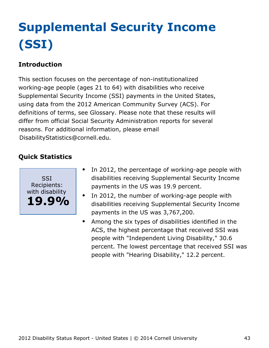# <span id="page-43-0"></span>**Supplemental Security Income (SSI)**

## **Introduction**

This section focuses on the percentage of non-institutionalized working-age people (ages 21 to 64) with disabilities who receive Supplemental Security Income (SSI) payments in the United States, using data from the 2012 American Community Survey (ACS). For definitions of terms, see Glossary. Please note that these results will differ from official Social Security Administration reports for several reasons. For additional information, please email [DisabilityStatistics@cornell.edu](mailto:DisabilityStatistics@cornell.edu).



- In 2012, the percentage of working-age people with  $\bullet$ disabilities receiving Supplemental Security Income payments in the US was 19.9 percent.
- In 2012, the number of working-age people with disabilities receiving Supplemental Security Income payments in the US was 3,767,200.
- Among the six types of disabilities identified in the  $\bullet$ ACS, the highest percentage that received SSI was people with "Independent Living Disability," 30.6 percent. The lowest percentage that received SSI was people with "Hearing Disability," 12.2 percent.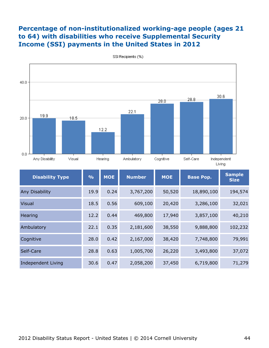#### **Percentage of non-institutionalized working-age people (ages 21 to 64) with disabilities who receive Supplemental Security Income (SSI) payments in the United States in 2012**



SSI Recipients (%)

| <b>Disability Type</b> | $\frac{9}{6}$ | <b>MOE</b> | <b>Number</b> | <b>MOE</b> | <b>Base Pop.</b> | <b>Sample</b><br><b>Size</b> |
|------------------------|---------------|------------|---------------|------------|------------------|------------------------------|
| Any Disability         | 19.9          | 0.24       | 3,767,200     | 50,520     | 18,890,100       | 194,574                      |
| <b>Visual</b>          | 18.5          | 0.56       | 609,100       | 20,420     | 3,286,100        | 32,021                       |
| Hearing                | 12.2          | 0.44       | 469,800       | 17,940     | 3,857,100        | 40,210                       |
| Ambulatory             | 22.1          | 0.35       | 2,181,600     | 38,550     | 9,888,800        | 102,232                      |
| Cognitive              | 28.0          | 0.42       | 2,167,000     | 38,420     | 7,748,800        | 79,991                       |
| Self-Care              | 28.8          | 0.63       | 1,005,700     | 26,220     | 3,493,800        | 37,072                       |
| Independent Living     | 30.6          | 0.47       | 2,058,200     | 37,450     | 6,719,800        | 71,279                       |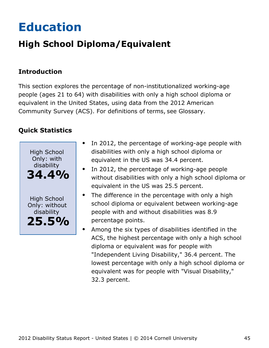# <span id="page-45-0"></span>**Education**

## **High School Diploma/Equivalent**

### **Introduction**

This section explores the percentage of non-institutionalized working-age people (ages 21 to 64) with disabilities with only a high school diploma or equivalent in the United States, using data from the 2012 American Community Survey (ACS). For definitions of terms, see Glossary.



- In 2012, the percentage of working-age people with  $\bullet$ disabilities with only a high school diploma or equivalent in the US was 34.4 percent.
- In 2012, the percentage of working-age people without disabilities with only a high school diploma or equivalent in the US was 25.5 percent.
- The difference in the percentage with only a high school diploma or equivalent between working-age people with and without disabilities was 8.9 percentage points.
- Among the six types of disabilities identified in the ACS, the highest percentage with only a high school diploma or equivalent was for people with "Independent Living Disability," 36.4 percent. The lowest percentage with only a high school diploma or equivalent was for people with "Visual Disability," 32.3 percent.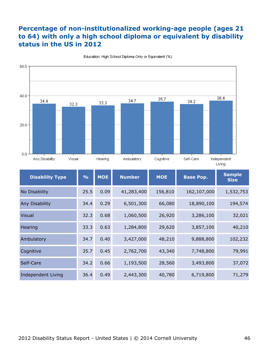#### **Percentage of non-institutionalized working-age people (ages 21 to 64) with only a high school diploma or equivalent by disability status in the US in 2012**



Education: High School Diploma Only or Equivalent (%)

| <b>Disability Type</b> | $\frac{9}{6}$ | <b>MOE</b> | <b>Number</b> | <b>MOE</b> | <b>Base Pop.</b> | <b>Sample</b><br><b>Size</b> |
|------------------------|---------------|------------|---------------|------------|------------------|------------------------------|
| No Disability          | 25.5          | 0.09       | 41,283,400    | 156,810    | 162,107,000      | 1,532,753                    |
| <b>Any Disability</b>  | 34.4          | 0.29       | 6,501,300     | 66,080     | 18,890,100       | 194,574                      |
| <b>Visual</b>          | 32.3          | 0.68       | 1,060,500     | 26,920     | 3,286,100        | 32,021                       |
| Hearing                | 33.3          | 0.63       | 1,284,800     | 29,620     | 3,857,100        | 40,210                       |
| Ambulatory             | 34.7          | 0.40       | 3,427,000     | 48,210     | 9,888,800        | 102,232                      |
| Cognitive              | 35.7          | 0.45       | 2,762,700     | 43,340     | 7,748,800        | 79,991                       |
| Self-Care              | 34.2          | 0.66       | 1,193,500     | 28,560     | 3,493,800        | 37,072                       |
| Independent Living     | 36.4          | 0.49       | 2,443,300     | 40,780     | 6,719,800        | 71,279                       |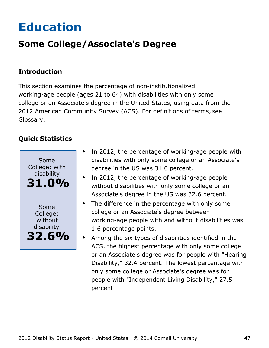# <span id="page-47-0"></span>**Education**

## **Some College/Associate's Degree**

#### **Introduction**

This section examines the percentage of non-institutionalized working-age people (ages 21 to 64) with disabilities with only some college or an Associate's degree in the United States, using data from the 2012 American Community Survey (ACS). For definitions of terms, see Glossary.



- In 2012, the percentage of working-age people with  $\bullet$ disabilities with only some college or an Associate's degree in the US was 31.0 percent.
- In 2012, the percentage of working-age people without disabilities with only some college or an Associate's degree in the US was 32.6 percent.
- The difference in the percentage with only some  $\bullet$ college or an Associate's degree between working-age people with and without disabilities was 1.6 percentage points.
- Among the six types of disabilities identified in the ACS, the highest percentage with only some college or an Associate's degree was for people with "Hearing Disability," 32.4 percent. The lowest percentage with only some college or Associate's degree was for people with "Independent Living Disability," 27.5 percent.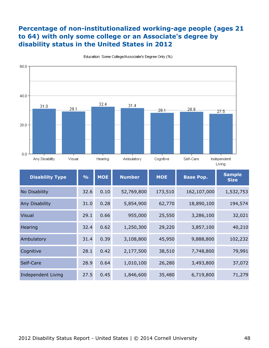### **Percentage of non-institutionalized working-age people (ages 21 to 64) with only some college or an Associate's degree by disability status in the United States in 2012**



Education: Some College/Associate's Degree Only (%)

| <b>Disability Type</b> | $\frac{0}{0}$ | <b>MOE</b> | <b>Number</b> | <b>MOE</b> | <b>Base Pop.</b> | <b>Sample</b><br><b>Size</b> |
|------------------------|---------------|------------|---------------|------------|------------------|------------------------------|
| No Disability          | 32.6          | 0.10       | 52,769,800    | 173,510    | 162,107,000      | 1,532,753                    |
| Any Disability         | 31.0          | 0.28       | 5,854,900     | 62,770     | 18,890,100       | 194,574                      |
| <b>Visual</b>          | 29.1          | 0.66       | 955,000       | 25,550     | 3,286,100        | 32,021                       |
| Hearing                | 32.4          | 0.62       | 1,250,300     | 29,220     | 3,857,100        | 40,210                       |
| Ambulatory             | 31.4          | 0.39       | 3,108,800     | 45,950     | 9,888,800        | 102,232                      |
| Cognitive              | 28.1          | 0.42       | 2,177,500     | 38,510     | 7,748,800        | 79,991                       |
| Self-Care              | 28.9          | 0.64       | 1,010,100     | 26,280     | 3,493,800        | 37,072                       |
| Independent Living     | 27.5          | 0.45       | 1,846,600     | 35,480     | 6,719,800        | 71,279                       |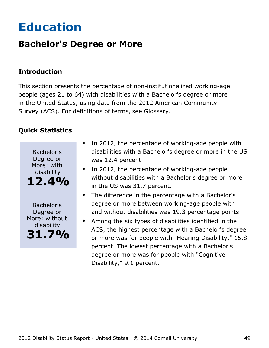## <span id="page-49-0"></span>**Education**

## **Bachelor's Degree or More**

### **Introduction**

This section presents the percentage of non-institutionalized working-age people (ages 21 to 64) with disabilities with a Bachelor's degree or more in the United States, using data from the 2012 American Community Survey (ACS). For definitions of terms, see Glossary.



- In 2012, the percentage of working-age people with disabilities with a Bachelor's degree or more in the US was 12.4 percent.
- In 2012, the percentage of working-age people without disabilities with a Bachelor's degree or more in the US was 31.7 percent.
- The difference in the percentage with a Bachelor's degree or more between working-age people with and without disabilities was 19.3 percentage points.
- Among the six types of disabilities identified in the ACS, the highest percentage with a Bachelor's degree or more was for people with "Hearing Disability," 15.8 percent. The lowest percentage with a Bachelor's degree or more was for people with "Cognitive Disability," 9.1 percent.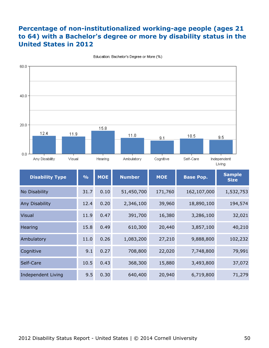#### **Percentage of non-institutionalized working-age people (ages 21 to 64) with a Bachelor's degree or more by disability status in the United States in 2012**



Education: Bachelor's Degree or More (%)

| <b>Disability Type</b> | $\frac{0}{0}$ | <b>MOE</b> | <b>Number</b> | <b>MOE</b> | <b>Base Pop.</b> | <b>Sample</b><br><b>Size</b> |
|------------------------|---------------|------------|---------------|------------|------------------|------------------------------|
| No Disability          | 31.7          | 0.10       | 51,450,700    | 171,760    | 162,107,000      | 1,532,753                    |
| Any Disability         | 12.4          | 0.20       | 2,346,100     | 39,960     | 18,890,100       | 194,574                      |
| <b>Visual</b>          | 11.9          | 0.47       | 391,700       | 16,380     | 3,286,100        | 32,021                       |
| Hearing                | 15.8          | 0.49       | 610,300       | 20,440     | 3,857,100        | 40,210                       |
| Ambulatory             | 11.0          | 0.26       | 1,083,200     | 27,210     | 9,888,800        | 102,232                      |
| Cognitive              | 9.1           | 0.27       | 708,800       | 22,020     | 7,748,800        | 79,991                       |
| Self-Care              | 10.5          | 0.43       | 368,300       | 15,880     | 3,493,800        | 37,072                       |
| Independent Living     | 9.5           | 0.30       | 640,400       | 20,940     | 6,719,800        | 71,279                       |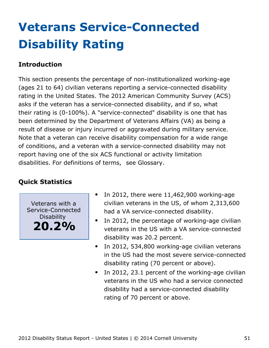# <span id="page-51-0"></span>**Veterans Service-Connected Disability Rating**

### **Introduction**

This section presents the percentage of non-institutionalized working-age (ages 21 to 64) civilian veterans reporting a service-connected disability rating in the United States. The 2012 American Community Survey (ACS) asks if the veteran has a service-connected disability, and if so, what their rating is (0-100%). A "service-connected" disability is one that has been determined by the Department of Veterans Affairs (VA) as being a result of disease or injury incurred or aggravated during military service. Note that a veteran can receive disability compensation for a wide range of conditions, and a veteran with a service-connected disability may not report having one of the six ACS functional or activity limitation disabilities. For definitions of terms, see Glossary.

### **Quick Statistics**

Veterans with a Service-Connected Disability **20.2%**

- In 2012, there were 11,462,900 working-age civilian veterans in the US, of whom 2,313,600 had a VA service-connected disability.
- $\bullet$ In 2012, the percentage of working-age civilian veterans in the US with a VA service-connected disability was 20.2 percent.
- In 2012, 534,800 working-age civilian veterans  $\bullet$ in the US had the most severe service-connected disability rating (70 percent or above).
- In 2012, 23.1 percent of the working-age civilian  $\bullet$ veterans in the US who had a service connected disability had a service-connected disability rating of 70 percent or above.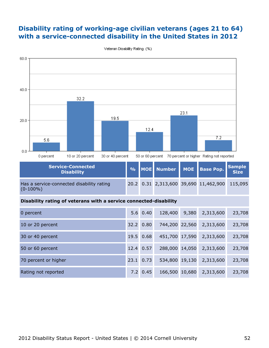#### **Disability rating of working-age civilian veterans (ages 21 to 64) with a service-connected disability in the United States in 2012**



Veteran Disability Rating (%)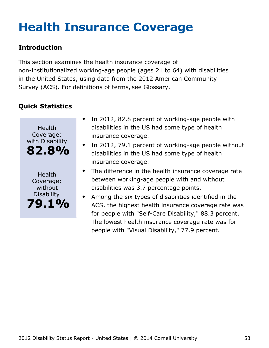# <span id="page-53-0"></span>**Health Insurance Coverage**

### **Introduction**

This section examines the health insurance coverage of non-institutionalized working-age people (ages 21 to 64) with disabilities in the United States, using data from the 2012 American Community Survey (ACS). For definitions of terms, see Glossary.



- In 2012, 82.8 percent of working-age people with disabilities in the US had some type of health insurance coverage.
- In 2012, 79.1 percent of working-age people without disabilities in the US had some type of health insurance coverage.
- The difference in the health insurance coverage rate between working-age people with and without disabilities was 3.7 percentage points.
- Among the six types of disabilities identified in the  $\bullet$ ACS, the highest health insurance coverage rate was for people with "Self-Care Disability," 88.3 percent. The lowest health insurance coverage rate was for people with "Visual Disability," 77.9 percent.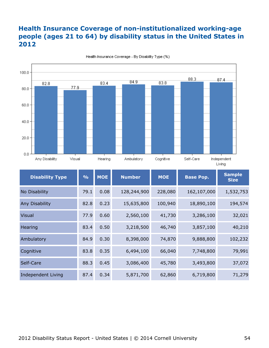#### **Health Insurance Coverage of non-institutionalized working-age people (ages 21 to 64) by disability status in the United States in 2012**



Health Insurance Coverage - By Disability Type (%)

| <b>Disability Type</b> | $\frac{9}{6}$ | <b>MOE</b> | <b>Number</b> | <b>MOE</b> | <b>Base Pop.</b> | <b>Sample</b><br><b>Size</b> |
|------------------------|---------------|------------|---------------|------------|------------------|------------------------------|
| No Disability          | 79.1          | 0.08       | 128,244,900   | 228,080    | 162,107,000      | 1,532,753                    |
| Any Disability         | 82.8          | 0.23       | 15,635,800    | 100,940    | 18,890,100       | 194,574                      |
| <b>Visual</b>          | 77.9          | 0.60       | 2,560,100     | 41,730     | 3,286,100        | 32,021                       |
| Hearing                | 83.4          | 0.50       | 3,218,500     | 46,740     | 3,857,100        | 40,210                       |
| Ambulatory             | 84.9          | 0.30       | 8,398,000     | 74,870     | 9,888,800        | 102,232                      |
| Cognitive              | 83.8          | 0.35       | 6,494,100     | 66,040     | 7,748,800        | 79,991                       |
| Self-Care              | 88.3          | 0.45       | 3,086,400     | 45,780     | 3,493,800        | 37,072                       |
| Independent Living     | 87.4          | 0.34       | 5,871,700     | 62,860     | 6,719,800        | 71,279                       |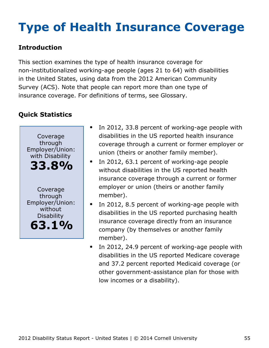# <span id="page-55-0"></span>**Type of Health Insurance Coverage**

### **Introduction**

This section examines the type of health insurance coverage for non-institutionalized working-age people (ages 21 to 64) with disabilities in the United States, using data from the 2012 American Community Survey (ACS). Note that people can report more than one type of insurance coverage. For definitions of terms, see Glossary.



- In 2012, 33.8 percent of working-age people with disabilities in the US reported health insurance coverage through a current or former employer or union (theirs or another family member).
- $\bullet$ In 2012, 63.1 percent of working-age people without disabilities in the US reported health insurance coverage through a current or former employer or union (theirs or another family member).
- In 2012, 8.5 percent of working-age people with disabilities in the US reported purchasing health insurance coverage directly from an insurance company (by themselves or another family member).
- In 2012, 24.9 percent of working-age people with  $\bullet$ disabilities in the US reported Medicare coverage and 37.2 percent reported Medicaid coverage (or other government-assistance plan for those with low incomes or a disability).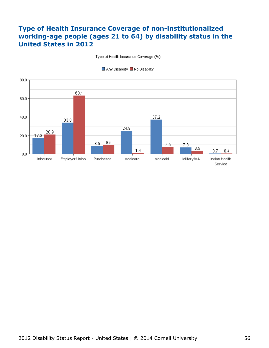#### **Type of Health Insurance Coverage of non-institutionalized working-age people (ages 21 to 64) by disability status in the United States in 2012**

Type of Health Insurance Coverage (%)



■ Any Disability ■ No Disability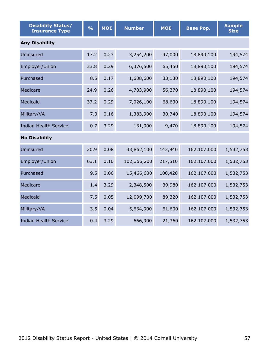| <b>Disability Status/</b><br><b>Insurance Type</b> | $\frac{1}{2}$ | <b>MOE</b> | <b>Number</b> | <b>MOE</b> | <b>Base Pop.</b> | <b>Sample</b><br><b>Size</b> |  |  |  |
|----------------------------------------------------|---------------|------------|---------------|------------|------------------|------------------------------|--|--|--|
| <b>Any Disability</b>                              |               |            |               |            |                  |                              |  |  |  |
| Uninsured                                          | 17.2          | 0.23       | 3,254,200     | 47,000     | 18,890,100       | 194,574                      |  |  |  |
| Employer/Union                                     | 33.8          | 0.29       | 6,376,500     | 65,450     | 18,890,100       | 194,574                      |  |  |  |
| Purchased                                          | 8.5           | 0.17       | 1,608,600     | 33,130     | 18,890,100       | 194,574                      |  |  |  |
| Medicare                                           | 24.9          | 0.26       | 4,703,900     | 56,370     | 18,890,100       | 194,574                      |  |  |  |
| Medicaid                                           | 37.2          | 0.29       | 7,026,100     | 68,630     | 18,890,100       | 194,574                      |  |  |  |
| Military/VA                                        | 7.3           | 0.16       | 1,383,900     | 30,740     | 18,890,100       | 194,574                      |  |  |  |
| <b>Indian Health Service</b>                       | 0.7           | 3.29       | 131,000       | 9,470      | 18,890,100       | 194,574                      |  |  |  |
| <b>No Disability</b>                               |               |            |               |            |                  |                              |  |  |  |
| Uninsured                                          | 20.9          | 0.08       | 33,862,100    | 143,940    | 162,107,000      | 1,532,753                    |  |  |  |
| Employer/Union                                     | 63.1          | 0.10       | 102,356,200   | 217,510    | 162,107,000      | 1,532,753                    |  |  |  |
| Purchased                                          | 9.5           | 0.06       | 15,466,600    | 100,420    | 162,107,000      | 1,532,753                    |  |  |  |
| Medicare                                           | 1.4           | 3.29       | 2,348,500     | 39,980     | 162,107,000      | 1,532,753                    |  |  |  |
| Medicaid                                           | 7.5           | 0.05       | 12,099,700    | 89,320     | 162,107,000      | 1,532,753                    |  |  |  |
| Military/VA                                        | 3.5           | 0.04       | 5,634,900     | 61,600     | 162,107,000      | 1,532,753                    |  |  |  |
| <b>Indian Health Service</b>                       | 0.4           | 3.29       | 666,900       | 21,360     | 162,107,000      | 1,532,753                    |  |  |  |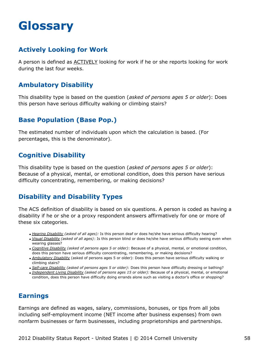## <span id="page-58-0"></span>**Glossary**

#### **Actively Looking for Work**

A person is defined as ACTIVELY looking for work if he or she reports looking for work during the last four weeks.

#### **Ambulatory Disability**

This disability type is based on the question (*asked of persons ages 5 or older*): Does this person have serious difficulty walking or climbing stairs?

#### **Base Population (Base Pop.)**

The estimated number of individuals upon which the calculation is based. (For percentages, this is the denominator).

#### **Cognitive Disability**

This disability type is based on the question (*asked of persons ages 5 or older*): Because of a physical, mental, or emotional condition, does this person have serious difficulty concentrating, remembering, or making decisions?

### **Disability and Disability Types**

The ACS definition of disability is based on six questions. A person is coded as having a disability if he or she or a proxy respondent answers affirmatively for one or more of these six categories.

- *Hearing Disability (asked of all ages):* Is this person deaf or does he/she have serious difficulty hearing?
- *Visual Disability (asked of all ages)*: Is this person blind or does he/she have serious difficulty seeing even when wearing glasses?
- *Cognitive Disability (asked of persons ages 5 or older)*: Because of a physical, mental, or emotional condition, does this person have serious difficulty concentrating, remembering, or making decisions?
- *Ambulatory Disability* (asked of persons ages 5 or older): Does this person have serious difficulty walking or climbing stairs?
- *Self-care Disability (asked of persons ages 5 or older)*: Does this person have difficulty dressing or bathing?
- *Independent Living Disability (asked of persons ages 15 or older):* Because of a physical, mental, or emotional condition, does this person have difficulty doing errands alone such as visiting a doctor's office or shopping?

#### **Earnings**

Earnings are defined as wages, salary, commissions, bonuses, or tips from all jobs including self-employment income (NET income after business expenses) from own nonfarm businesses or farm businesses, including proprietorships and partnerships.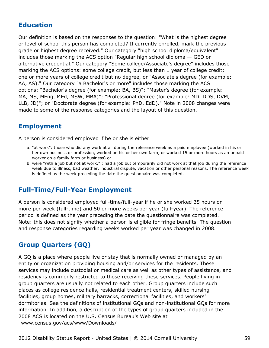#### **Education**

Our definition is based on the responses to the question: "What is the highest degree or level of school this person has completed? If currently enrolled, mark the previous grade or highest degree received." Our category "high school diploma/equivalent" includes those marking the ACS option "Regular high school diploma — GED or alternative credential." Our category "Some college/Associate's degree" includes those marking the ACS options: some college credit, but less than 1 year of college credit; one or more years of college credit but no degree, or "Associate's degree (for example: AA, AS)." Our category "a Bachelor's or more" includes those marking the ACS options: "Bachelor's degree (for example: BA, BS)"; "Master's degree (for example: MA, MS, MEng, MEd, MSW, MBA)"; "Professional degree (for example: MD, DDS, DVM, LLB, JD)"; or "Doctorate degree (for example: PhD, EdD)." Note in 2008 changes were made to some of the response categories and the layout of this question.

#### **Employment**

A person is considered employed if he or she is either

- a. "at work": those who did any work at all during the reference week as a paid employee (worked in his or her own business or profession, worked on his or her own farm, or worked 15 or more hours as an unpaid worker on a family farm or business) or
- b. were "with a job but not at work," : had a job but temporarily did not work at that job during the reference week due to illness, bad weather, industrial dispute, vacation or other personal reasons. The reference week is defined as the week preceding the date the questionnaire was completed.

#### **Full-Time/Full-Year Employment**

A person is considered employed full-time/full-year if he or she worked 35 hours or more per week (full-time) and 50 or more weeks per year (full-year). The reference period is defined as the year preceding the date the questionnaire was completed. Note: this does not signify whether a person is eligible for fringe benefits. The question and response categories regarding weeks worked per year was changed in 2008.

### **Group Quarters (GQ)**

A GQ is a place where people live or stay that is normally owned or managed by an entity or organization providing housing and/or services for the residents. These services may include custodial or medical care as well as other types of assistance, and residency is commonly restricted to those receiving these services. People living in group quarters are usually not related to each other. Group quarters include such places as college residence halls, residential treatment centers, skilled nursing facilities, group homes, military barracks, correctional facilities, and workers' dormitories. See the definitions of institutional GQs and non-institutional GQs for more information. In addition, a description of the types of group quarters included in the 2008 ACS is located on the U.S. Census Bureau's Web site at [www.census.gov/acs/www/Downloads/](http://www.census.gov/acs/www/Downloads/2008_ACS_GQ_Definitions.pdf)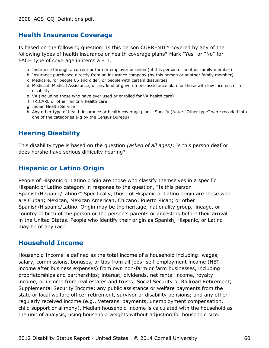#### **Health Insurance Coverage**

Is based on the following question: Is this person CURRENTLY covered by any of the following types of health insurance or health coverage plans? Mark "Yes" or "No" for EACH type of coverage in items a – h.

- a. Insurance through a current or former employer or union (of this person or another family member)
- b. Insurance purchased directly from an insurance company (by this person or another family member)
- c. Medicare, for people 65 and older, or people with certain disabilities
- d. Medicaid, Medical Assistance, or any kind of government-assistance plan for those with low incomes or a disability
- e. VA (including those who have ever used or enrolled for VA health care)
- f. TRICARE or other military health care
- g. Indian Health Service
- h. Any other type of health insurance or health coverage plan Specify (Note: "Other type" were recoded into one of the categories a-g by the Census Bureau)

#### **Hearing Disability**

This disability type is based on the question *(asked of all ages)*: Is this person deaf or does he/she have serious difficulty hearing?

#### **Hispanic or Latino Origin**

People of Hispanic or Latino origin are those who classify themselves in a specific Hispanic or Latino category in response to the question, "Is this person Spanish/Hispanic/Latino?" Specifically, those of Hispanic or Latino origin are those who are Cuban; Mexican, Mexican American, Chicano; Puerto Rican; or other Spanish/Hispanic/Latino. Origin may be the heritage, nationality group, lineage, or country of birth of the person or the person's parents or ancestors before their arrival in the United States. People who identify their origin as Spanish, Hispanic, or Latino may be of any race.

#### **Household Income**

Household Income is defined as the total income of a household including: wages, salary, commissions, bonuses, or tips from all jobs; self-employment income (NET income after business expenses) from own non-farm or farm businesses, including proprietorships and partnerships; interest, dividends, net rental income, royalty income, or income from real estates and trusts; Social Security or Railroad Retirement; Supplemental Security Income; any public assistance or welfare payments from the state or local welfare office; retirement, survivor or disability pensions; and any other regularly received income (e.g., Veterans' payments, unemployment compensation, child support or alimony). Median household income is calculated with the household as the unit of analysis, using household weights without adjusting for household size.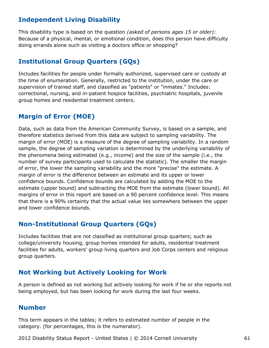#### **Independent Living Disability**

This disability type is based on the question *(asked of persons ages 15 or older)*: Because of a physical, mental, or emotional condition, does this person have difficulty doing errands alone such as visiting a doctors office or shopping?

#### **Institutional Group Quarters (GQs)**

Includes facilities for people under formally authorized, supervised care or custody at the time of enumeration. Generally, restricted to the institution, under the care or supervision of trained staff, and classified as "patients" or "inmates." Includes: correctional, nursing, and in-patient hospice facilities, psychiatric hospitals, juvenile group homes and residential treatment centers.

#### **Margin of Error (MOE)**

Data, such as data from the American Community Survey, is based on a sample, and therefore statistics derived from this data are subject to sampling variability. The margin of error (MOE) is a measure of the degree of sampling variability. In a random sample, the degree of sampling variation is determined by the underlying variability of the phenomena being estimated (e.g., income) and the size of the sample (i.e., the number of survey participants used to calculate the statistic). The smaller the margin of error, the lower the sampling variability and the more "precise" the estimate. A margin of error is the difference between an estimate and its upper or lower confidence bounds. Confidence bounds are calculated by adding the MOE to the estimate (upper bound) and subtracting the MOE from the estimate (lower bound). All margins of error in this report are based on a 90 percent confidence level. This means that there is a 90% certainty that the actual value lies somewhere between the upper and lower confidence bounds.

#### **Non-Institutional Group Quarters (GQs)**

Includes facilities that are not classified as institutional group quarters; such as college/university housing, group homes intended for adults, residential treatment facilities for adults, workers' group living quarters and Job Corps centers and religious group quarters.

#### **Not Working but Actively Looking for Work**

A person is defined as not working but actively looking for work if he or she reports not being employed, but has been looking for work during the last four weeks.

#### **Number**

This term appears in the tables; it refers to estimated number of people in the category. (for percentages, this is the numerator).

2012 Disability Status Report - United States | © 2014 Cornell University 61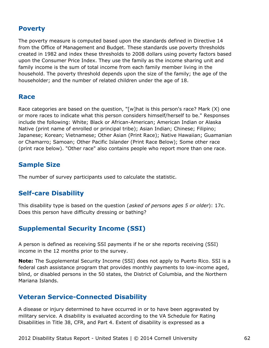#### **Poverty**

The poverty measure is computed based upon the standards defined in Directive 14 from the Office of Management and Budget. These standards use poverty thresholds created in 1982 and index these thresholds to 2008 dollars using poverty factors based upon the Consumer Price Index. They use the family as the income sharing unit and family income is the sum of total income from each family member living in the household. The poverty threshold depends upon the size of the family; the age of the householder; and the number of related children under the age of 18.

#### **Race**

Race categories are based on the question, "[w]hat is this person's race? Mark (X) one or more races to indicate what this person considers himself/herself to be." Responses include the following: White; Black or African-American; American Indian or Alaska Native (print name of enrolled or principal tribe); Asian Indian; Chinese; Filipino; Japanese; Korean; Vietnamese; Other Asian (Print Race); Native Hawaiian; Guamanian or Chamarro; Samoan; Other Pacific Islander (Print Race Below); Some other race (print race below). "Other race" also contains people who report more than one race.

#### **Sample Size**

The number of survey participants used to calculate the statistic.

#### **Self-care Disability**

This disability type is based on the question (*asked of persons ages 5 or older*): 17c. Does this person have difficulty dressing or bathing?

#### **Supplemental Security Income (SSI)**

A person is defined as receiving SSI payments if he or she reports receiving (SSI) income in the 12 months prior to the survey.

**Note:** The Supplemental Security Income (SSI) does not apply to Puerto Rico. SSI is a federal cash assistance program that provides monthly payments to low-income aged, blind, or disabled persons in the 50 states, the District of Columbia, and the Northern Mariana Islands.

#### **Veteran Service-Connected Disability**

A disease or injury determined to have occurred in or to have been aggravated by military service. A disability is evaluated according to the VA Schedule for Rating Disabilities in Title 38, CFR, and Part 4. Extent of disability is expressed as a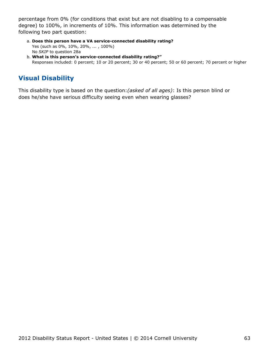percentage from 0% (for conditions that exist but are not disabling to a compensable degree) to 100%, in increments of 10%. This information was determined by the following two part question:

- **Does this person have a VA service-connected disability rating?** a. Yes (such as 0%, 10%, 20%, ... , 100%) No *SKIP* to question 28a
- **What is this person's service-connected disability rating?"** b. Responses included: 0 percent; 10 or 20 percent; 30 or 40 percent; 50 or 60 percent; 70 percent or higher

## **Visual Disability**

This disability type is based on the question:*(asked of all ages)*: Is this person blind or does he/she have serious difficulty seeing even when wearing glasses?